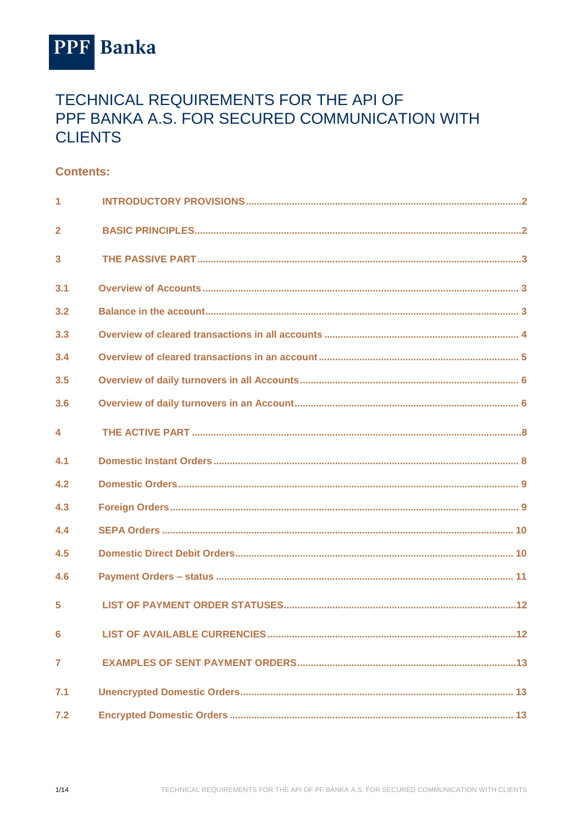

# TECHNICAL REQUIREMENTS FOR THE API OF PPF BANKA A.S. FOR SECURED COMMUNICATION WITH **CLIENTS**

## **Contents:**

| 1                       |  |
|-------------------------|--|
| $\overline{2}$          |  |
| $\overline{\mathbf{3}}$ |  |
| 3.1                     |  |
| 3.2                     |  |
| 3.3                     |  |
| 3.4                     |  |
| 3.5                     |  |
| 3.6                     |  |
| $\blacktriangle$        |  |
| 4.1                     |  |
| 4.2                     |  |
| 4.3                     |  |
| 4.4                     |  |
| 4.5                     |  |
| 4.6                     |  |
| 5                       |  |
| 6                       |  |
| 7                       |  |
| 7.1                     |  |
| 7.2                     |  |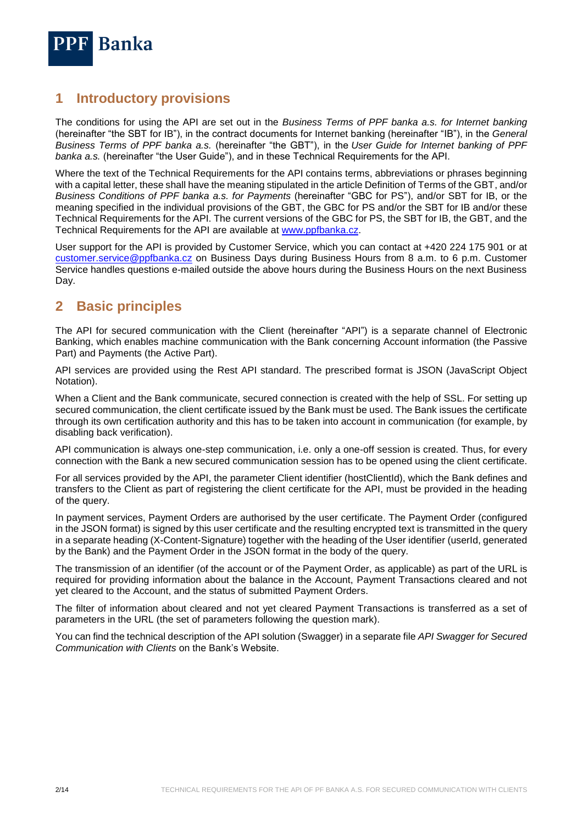

## <span id="page-1-0"></span>**1 Introductory provisions**

The conditions for using the API are set out in the *Business Terms of PPF banka a.s. for Internet banking* (hereinafter "the SBT for IB"), in the contract documents for Internet banking (hereinafter "IB"), in the *General Business Terms of PPF banka a.s.* (hereinafter "the GBT"), in the *User Guide for Internet banking of PPF banka a.s.* (hereinafter "the User Guide"), and in these Technical Requirements for the API.

Where the text of the Technical Requirements for the API contains terms, abbreviations or phrases beginning with a capital letter, these shall have the meaning stipulated in the article Definition of Terms of the GBT, and/or *Business Conditions of PPF banka a.s. for Payments* (hereinafter "GBC for PS"), and/or SBT for IB, or the meaning specified in the individual provisions of the GBT, the GBC for PS and/or the SBT for IB and/or these Technical Requirements for the API. The current versions of the GBC for PS, the SBT for IB, the GBT, and the Technical Requirements for the API are available at [www.ppfbanka.cz.](http://www.ppfbanka.cz/)

User support for the API is provided by Customer Service, which you can contact at +420 224 175 901 or at [customer.service@ppfbanka.cz](mailto:customer.service@ppfbanka.cz) on Business Days during Business Hours from 8 a.m. to 6 p.m. Customer Service handles questions e-mailed outside the above hours during the Business Hours on the next Business Day.

## <span id="page-1-1"></span>**2 Basic principles**

The API for secured communication with the Client (hereinafter "API") is a separate channel of Electronic Banking, which enables machine communication with the Bank concerning Account information (the Passive Part) and Payments (the Active Part).

API services are provided using the Rest API standard. The prescribed format is JSON (JavaScript Object Notation).

When a Client and the Bank communicate, secured connection is created with the help of SSL. For setting up secured communication, the client certificate issued by the Bank must be used. The Bank issues the certificate through its own certification authority and this has to be taken into account in communication (for example, by disabling back verification).

API communication is always one-step communication, i.e. only a one-off session is created. Thus, for every connection with the Bank a new secured communication session has to be opened using the client certificate.

For all services provided by the API, the parameter Client identifier (hostClientId), which the Bank defines and transfers to the Client as part of registering the client certificate for the API, must be provided in the heading of the query.

In payment services, Payment Orders are authorised by the user certificate. The Payment Order (configured in the JSON format) is signed by this user certificate and the resulting encrypted text is transmitted in the query in a separate heading (X-Content-Signature) together with the heading of the User identifier (userId, generated by the Bank) and the Payment Order in the JSON format in the body of the query.

The transmission of an identifier (of the account or of the Payment Order, as applicable) as part of the URL is required for providing information about the balance in the Account, Payment Transactions cleared and not yet cleared to the Account, and the status of submitted Payment Orders.

The filter of information about cleared and not yet cleared Payment Transactions is transferred as a set of parameters in the URL (the set of parameters following the question mark).

You can find the technical description of the API solution (Swagger) in a separate file *API Swagger for Secured Communication with Clients* on the Bank's Website.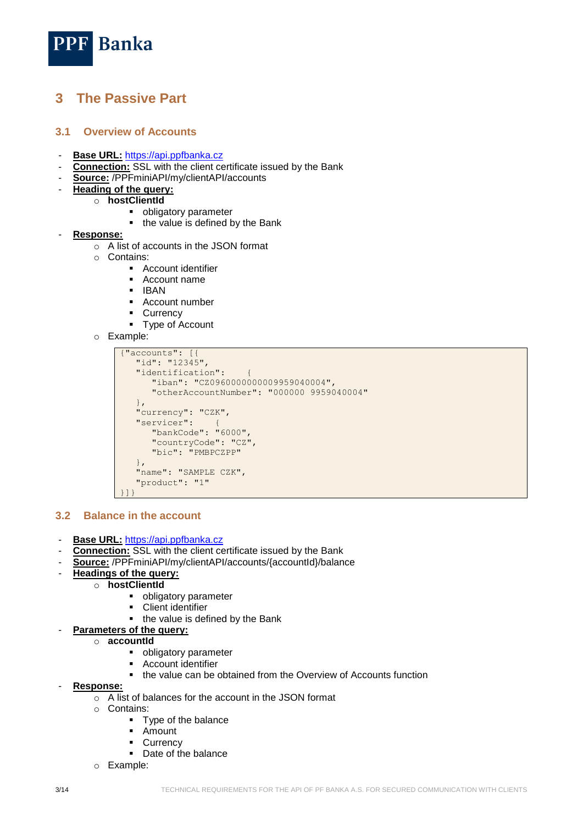

## <span id="page-2-0"></span>**3 The Passive Part**

#### <span id="page-2-1"></span>**3.1 Overview of Accounts**

- **Base URL:** [https://api.ppfbanka.cz](https://api.ppfbanka.cz/)
- **Connection:** SSL with the client certificate issued by the Bank
- **Source:** /PPFminiAPI/my/clientAPI/accounts
- **Heading of the query:**
	- o **hostClientId**
		- **•** obligatory parameter
		- the value is defined by the Bank
- **Response:**
	- o A list of accounts in the JSON format
	- o Contains:
		- **Account identifier**
		- Account name
		- **IBAN**
		- Account number
		- **Currency**
		- Type of Account
	- o Example:

```
{"accounts": [{
   "id": "12345",
    "identification": {
       "iban": "CZ0960000000009959040004",
       "otherAccountNumber": "000000 9959040004"
   },
  "currency": "CZK",
   "servicer":
       "bankCode": "6000",
       "countryCode": "CZ",
       "bic": "PMBPCZPP"
   },
   "name": "SAMPLE CZK",
    "product": "1"
}]}
```
#### <span id="page-2-2"></span>**3.2 Balance in the account**

- **Base URL:** [https://api.ppfbanka.cz](https://api.ppfbanka.cz/)
- **Connection:** SSL with the client certificate issued by the Bank
- **Source:** /PPFminiAPI/my/clientAPI/accounts/{accountId}/balance
- **Headings of the query:**
	- o **hostClientId**
		- **•** obligatory parameter
		- **-** Client identifier
		- the value is defined by the Bank
	- Parameters of the query:
		- o **accountId**
			- **•** obligatory parameter
			- **Account identifier**
			- the value can be obtained from the Overview of Accounts function
- **Response:**
	- o A list of balances for the account in the JSON format
	- o Contains:
		- Type of the balance
		- Amount
		- **Currency**
		- Date of the balance
	- o Example: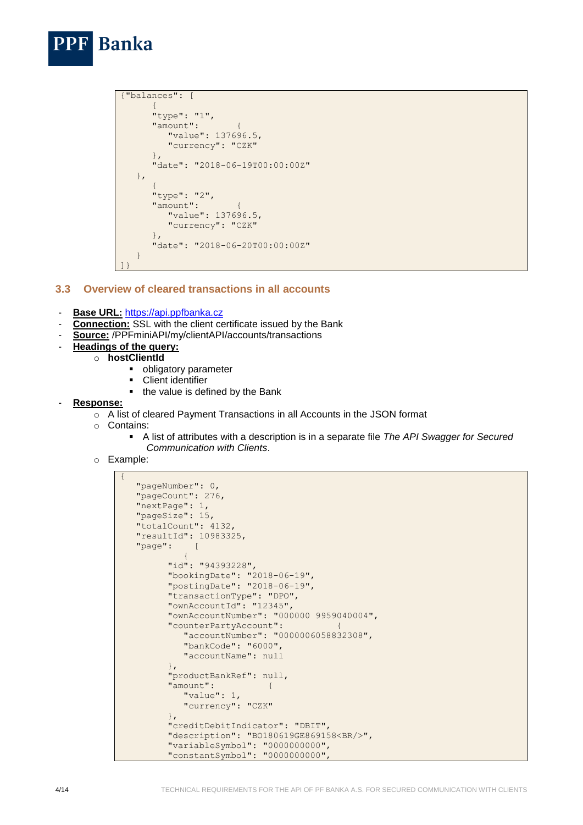```
{"balances": [
\left\{ \begin{array}{cc} 0 & 0 \\ 0 & 0 \end{array} \right\} "type": "1",
         "amount":
              "value": 137696.5,
             "currency": "CZK"
          },
          "date": "2018-06-19T00:00:00Z"
     },
\left\{ \begin{array}{cc} 0 & 0 \\ 0 & 0 \end{array} \right\} "type": "2",
          "amount": {
              "value": 137696.5,
              "currency": "CZK"
          },
          "date": "2018-06-20T00:00:00Z"
     }
]}
```
### <span id="page-3-0"></span>**3.3 Overview of cleared transactions in all accounts**

- **Base URL:** [https://api.ppfbanka.cz](https://api.ppfbanka.cz/)
- **Connection:** SSL with the client certificate issued by the Bank
- **Source:** /PPFminiAPI/my/clientAPI/accounts/transactions
- **Headings of the query:**

**Banka** 

- o **hostClientId**
	- obligatory parameter<br>• Client identifier
	- Client identifier
	- the value is defined by the Bank
- **Response:**
	- o A list of cleared Payment Transactions in all Accounts in the JSON format
	- o Contains:
		- A list of attributes with a description is in a separate file *The API Swagger for Secured Communication with Clients*.
	- o Example:

```
{
     "pageNumber": 0,
     "pageCount": 276,
     "nextPage": 1,
     "pageSize": 15,
     "totalCount": 4132,
     "resultId": 10983325,
     "page": [
\left\{ \begin{array}{cc} 0 & 0 & 0 \\ 0 & 0 & 0 \\ 0 & 0 & 0 \\ 0 & 0 & 0 \\ 0 & 0 & 0 \\ 0 & 0 & 0 \\ 0 & 0 & 0 \\ 0 & 0 & 0 \\ 0 & 0 & 0 \\ 0 & 0 & 0 \\ 0 & 0 & 0 \\ 0 & 0 & 0 & 0 \\ 0 & 0 & 0 & 0 \\ 0 & 0 & 0 & 0 \\ 0 & 0 & 0 & 0 & 0 \\ 0 & 0 & 0 & 0 & 0 \\ 0 & 0 & 0 & 0 & 0 \\ 0 & 0 & 0 & 0 & 0 \\ 0 & 0 & 0 & 0 & 0 "id": "94393228",
              "bookingDate": "2018-06-19",
              "postingDate": "2018-06-19",
              "transactionType": "DPO",
              "ownAccountId": "12345",
              "ownAccountNumber": "000000 9959040004",
              "counterPartyAccount": {
                   "accountNumber": "0000006058832308",
                   "bankCode": "6000",
                   "accountName": null
              },
              "productBankRef": null,
              "amount": {
 "value": 1,
 "currency": "CZK"
              },
              "creditDebitIndicator": "DBIT",
              "description": "BO180619GE869158<BR/>",
              "variableSymbol": "0000000000",
              "constantSymbol": "0000000000",
```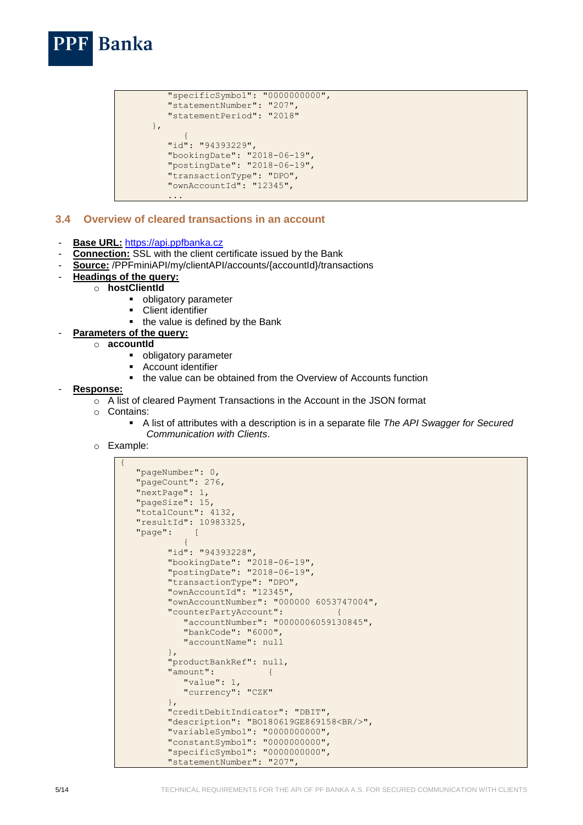

```
 "specificSymbol": "0000000000",
            "statementNumber": "207",
            "statementPeriod": "2018"
        },
{1 \over 2} ( {1 \over 2} ) and {1 \over 2} ( {1 \over 2} ) and {1 \over 2} "id": "94393229",
            "bookingDate": "2018-06-19",
            "postingDate": "2018-06-19",
            "transactionType": "DPO",
           "ownAccountId": "12345",
 ...
```
#### <span id="page-4-0"></span>**3.4 Overview of cleared transactions in an account**

- **Base URL:** [https://api.ppfbanka.cz](https://api.ppfbanka.cz/)
- **Connection:** SSL with the client certificate issued by the Bank
- **Source:** /PPFminiAPI/my/clientAPI/accounts/{accountId}/transactions
- **Headings of the query:**
	- o **hostClientId**
		- **•** obligatory parameter
		- **•** Client identifier
		- the value is defined by the Bank
- **Parameters of the query:** 
	- o **accountId**
		- **•** obligatory parameter
		- **Account identifier**
		- the value can be obtained from the Overview of Accounts function
- **Response:**
	- o A list of cleared Payment Transactions in the Account in the JSON format
	- o Contains:
		- A list of attributes with a description is in a separate file *The API Swagger for Secured Communication with Clients*.
	- o Example:

```
{
   "pageNumber": 0,
   "pageCount": 276,
   "nextPage": 1,
   "pageSize": 15,
   "totalCount": 4132,
   "resultId": 10983325,
    "page": [
\{"id": "94393228",
         "bookingDate": "2018-06-19",
          "postingDate": "2018-06-19",
         "transactionType": "DPO",
        "ownAccountId": "12345"
         "ownAccountNumber": "000000 6053747004",
          "counterPartyAccount": {
             "accountNumber": "0000006059130845",
             "bankCode": "6000",
             "accountName": null
         },
         "productBankRef": null,
         "amount": {
             "value": 1,
            "currency": "CZK"
         },
         "creditDebitIndicator": "DBIT",
         "description": "BO180619GE869158<BR/>",
          "variableSymbol": "0000000000",
 "constantSymbol": "0000000000",
 "specificSymbol": "0000000000",
         "statementNumber": "207",
```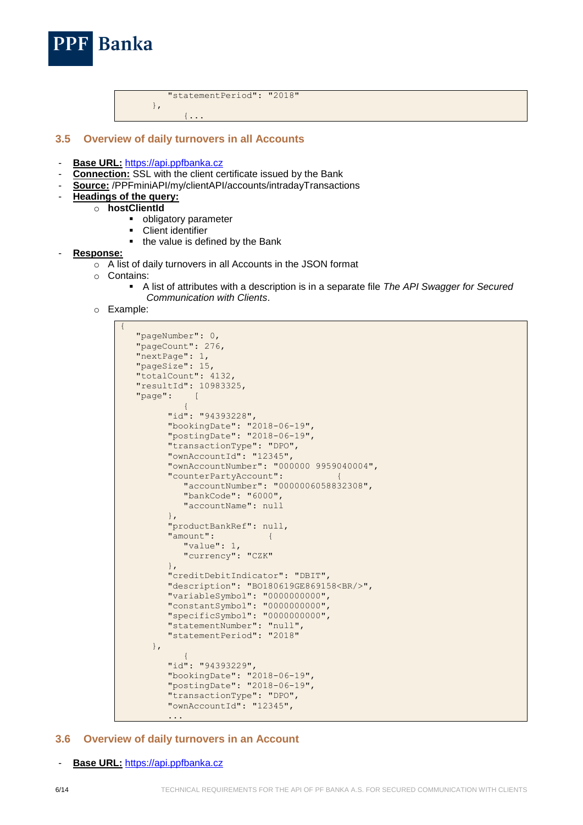"statementPeriod": "2018" },

#### $\{\ldots\}$

#### <span id="page-5-0"></span>**3.5 Overview of daily turnovers in all Accounts**

- **Base URL:** [https://api.ppfbanka.cz](https://api.ppfbanka.cz/)
- **Connection:** SSL with the client certificate issued by the Bank
- **Source:** /PPFminiAPI/my/clientAPI/accounts/intradayTransactions
- **Headings of the query:**

**Banka** 

- o **hostClientId**
	- **•** obligatory parameter
	- **Client identifier**
	- the value is defined by the Bank

#### - **Response:**

- o A list of daily turnovers in all Accounts in the JSON format
- o Contains:
	- A list of attributes with a description is in a separate file *The API Swagger for Secured Communication with Clients*.
- o Example:

```
{
    "pageNumber": 0,
    "pageCount": 276,
    "nextPage": 1,
    "pageSize": 15,
    "totalCount": 4132,
    "resultId": 10983325,
    "page": [
\{"id": "94393228",
 "bookingDate": "2018-06-19",
 "postingDate": "2018-06-19",
 "transactionType": "DPO",
 "ownAccountId": "12345",
            "ownAccountNumber": "000000 9959040004",
            "counterPartyAccount": {
                "accountNumber": "0000006058832308",
                "bankCode": "6000",
                "accountName": null
            },
            "productBankRef": null,
            "amount": {
                "value": 1,
               "currency": "CZK"
 },
            "creditDebitIndicator": "DBIT",
            "description": "BO180619GE869158<BR/>",
            "variableSymbol": "0000000000",
            "constantSymbol": "0000000000",
            "specificSymbol": "0000000000",
            "statementNumber": "null",
            "statementPeriod": "2018"
        },
\left\{ \begin{array}{cc} 0 & 0 & 0 \\ 0 & 0 & 0 \\ 0 & 0 & 0 \\ 0 & 0 & 0 \\ 0 & 0 & 0 \\ 0 & 0 & 0 \\ 0 & 0 & 0 \\ 0 & 0 & 0 \\ 0 & 0 & 0 \\ 0 & 0 & 0 \\ 0 & 0 & 0 \\ 0 & 0 & 0 & 0 \\ 0 & 0 & 0 & 0 \\ 0 & 0 & 0 & 0 \\ 0 & 0 & 0 & 0 & 0 \\ 0 & 0 & 0 & 0 & 0 \\ 0 & 0 & 0 & 0 & 0 \\ 0 & 0 & 0 & 0 & 0 \\ 0 & 0 & 0 & 0 & 0"id": "94393229",
 "bookingDate": "2018-06-19",
 "postingDate": "2018-06-19",
            "transactionType": "DPO",
            "ownAccountId": "12345",
 ...
```
#### <span id="page-5-1"></span>**3.6 Overview of daily turnovers in an Account**

Base URL: [https://api.ppfbanka.cz](https://api.ppfbanka.cz/)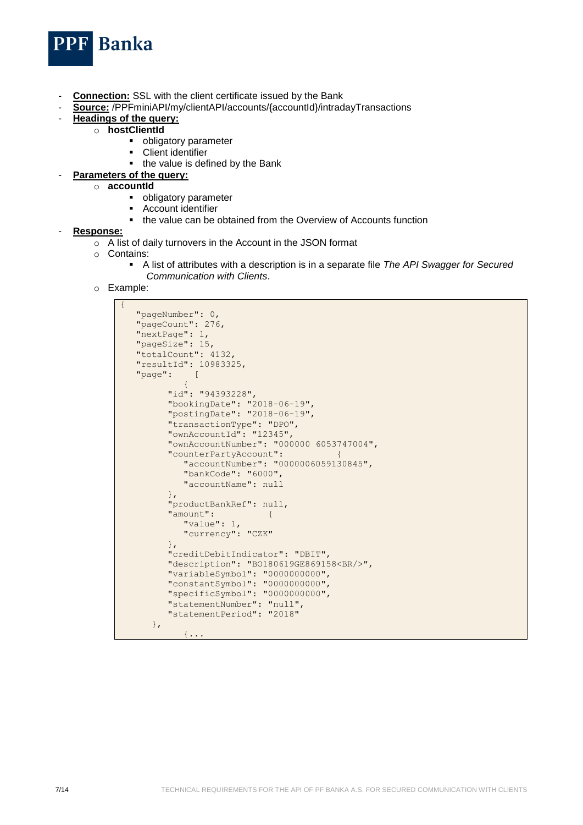

- **Connection:** SSL with the client certificate issued by the Bank
- **Source:** /PPFminiAPI/my/clientAPI/accounts/{accountId}/intradayTransactions
	- **Headings of the query:** 
		- o **hostClientId**
			- **•** obligatory parameter
			- **Client identifier**
			- the value is defined by the Bank
		- **Parameters of the query:** 
			- o **accountId**
				- **•** obligatory parameter
				- Account identifier<br>  $\blacksquare$  the value can be a
				- the value can be obtained from the Overview of Accounts function
- **Response:**
	- o A list of daily turnovers in the Account in the JSON format
	- o Contains:
		- A list of attributes with a description is in a separate file *The API Swagger for Secured Communication with Clients*.
	- o Example:

```
{
   "pageNumber": 0,
   "pageCount": 276,
   "nextPage": 1,
   "pageSize": 15,
   "totalCount": 4132,
   "resultId": 10983325,
   "page": [
\{"id": "94393228",
 "bookingDate": "2018-06-19",
 "postingDate": "2018-06-19",
         "transactionType": "DPO",
         "ownAccountId": "12345",
         "ownAccountNumber": "000000 6053747004",
         "counterPartyAccount": {
            "accountNumber": "0000006059130845",
            "bankCode": "6000",
            "accountName": null
         },
         "productBankRef": null,
         "amount": {
            "value": 1,
            "currency": "CZK"
         },
         "creditDebitIndicator": "DBIT",
         "description": "BO180619GE869158<BR/>",
         "variableSymbol": "0000000000",
 "constantSymbol": "0000000000",
 "specificSymbol": "0000000000",
         "statementNumber": "null",
         "statementPeriod": "2018"
      },
            \{\ldots
```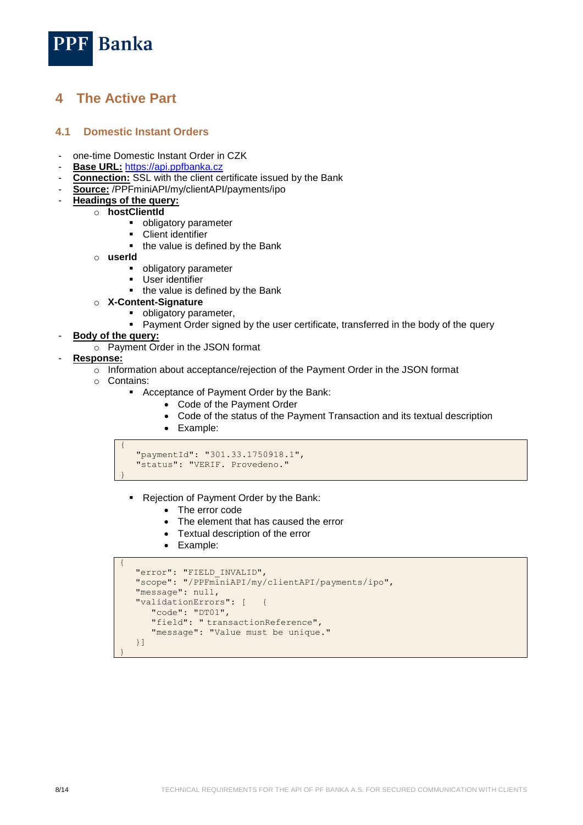

## <span id="page-7-0"></span>**4 The Active Part**

#### <span id="page-7-1"></span>**4.1 Domestic Instant Orders**

- one-time Domestic Instant Order in CZK
- **Base URL:** [https://api.ppfbanka.cz](https://api.ppfbanka.cz/)
- **Connection:** SSL with the client certificate issued by the Bank
- **Source:** /PPFminiAPI/my/clientAPI/payments/ipo
- **Headings of the query:**
	- o **hostClientId**
		- **•** obligatory parameter
		- **-** Client identifier
		- the value is defined by the Bank
		- o **userId**
			- **•** obligatory parameter
			- User identifier
			- the value is defined by the Bank
		- o **X-Content-Signature**
			- **•** obligatory parameter,
			- Payment Order signed by the user certificate, transferred in the body of the query
- **Body of the query:**
	- o Payment Order in the JSON format
- **Response:**
	- o Information about acceptance/rejection of the Payment Order in the JSON format
	- o Contains:
		- Acceptance of Payment Order by the Bank:
			- Code of the Payment Order
			- Code of the status of the Payment Transaction and its textual description
			- Example:

```
{
    "paymentId": "301.33.1750918.1",
    "status": "VERIF. Provedeno."
}
```
- Rejection of Payment Order by the Bank:
	- The error code
	- The element that has caused the error
	- Textual description of the error
	- Example:

```
{
    "error": "FIELD_INVALID",
   "scope": "/PPFminiAPI/my/clientAPI/payments/ipo",
    "message": null,
   "validationErrors": [ {
      "code": "DT01",
 "field": " transactionReference",
 "message": "Value must be unique."
   }]
}
```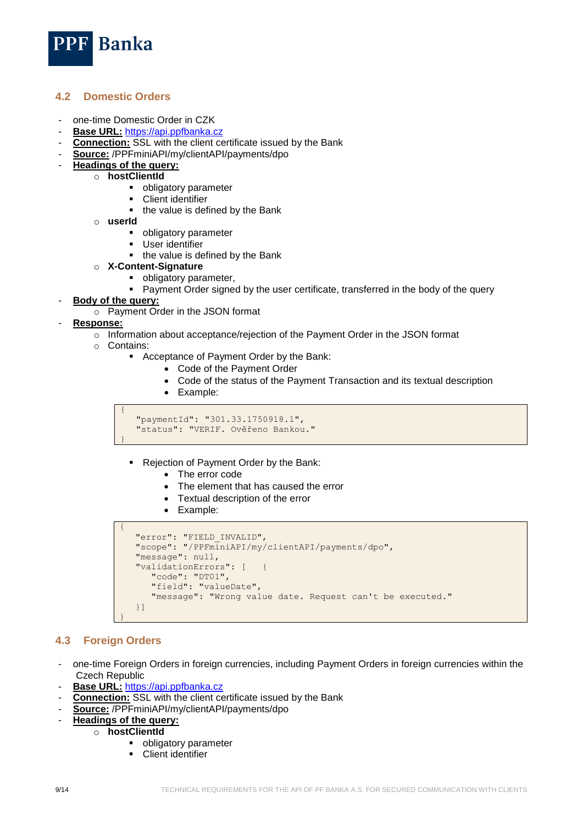

### <span id="page-8-0"></span>**4.2 Domestic Orders**

- one-time Domestic Order in CZK
- Base URL: [https://api.ppfbanka.cz](https://api.ppfbanka.cz/)
- **Connection:** SSL with the client certificate issued by the Bank
- **Source:** /PPFminiAPI/my/clientAPI/payments/dpo
- **Headings of the query:** 
	- o **hostClientId**
		- **•** obligatory parameter
		- **-** Client identifier
		- the value is defined by the Bank
		- o **userId**
			- **•** obligatory parameter
			- **User identifier**
			- the value is defined by the Bank
		- o **X-Content-Signature**
			- **•** obligatory parameter,
			- Payment Order signed by the user certificate, transferred in the body of the query

#### - **Body of the query:**

o Payment Order in the JSON format

#### - **Response:**

- o Information about acceptance/rejection of the Payment Order in the JSON format
- o Contains:
	- Acceptance of Payment Order by the Bank:
		- Code of the Payment Order
		- Code of the status of the Payment Transaction and its textual description
		- Example:

```
{
    "paymentId": "301.33.1750918.1",
    "status": "VERIF. Ověřeno Bankou."
}
```
- Rejection of Payment Order by the Bank:
	- The error code
	- The element that has caused the error
	- Textual description of the error
	- Example:

```
 "error": "FIELD_INVALID",
 "scope": "/PPFminiAPI/my/clientAPI/payments/dpo",
 "message": null,
 "validationErrors": [ {
    "code": "DT01",
    "field": "valueDate",
    "message": "Wrong value date. Request can't be executed."
 }]
```
### <span id="page-8-1"></span>**4.3 Foreign Orders**

}

{

- one-time Foreign Orders in foreign currencies, including Payment Orders in foreign currencies within the Czech Republic
- Base URL: [https://api.ppfbanka.cz](https://api.ppfbanka.cz/)
- **Connection:** SSL with the client certificate issued by the Bank
- **Source:** /PPFminiAPI/my/clientAPI/payments/dpo
	- **Headings of the query:** 
		- o **hostClientId**
			- **•** obligatory parameter
			- Client identifier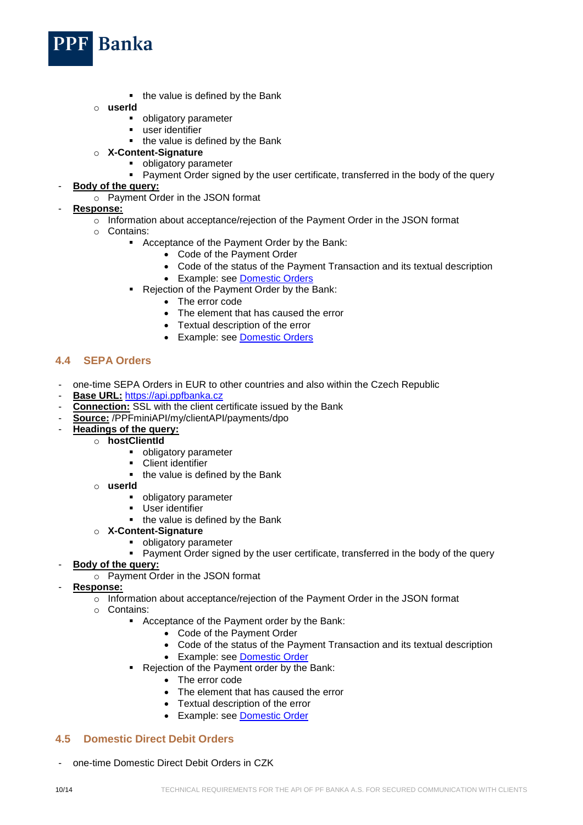

- $\blacksquare$  the value is defined by the Bank
- o **userId**
	- obligatory parameter
	- **user identifier**
	- the value is defined by the Bank
- o **X-Content-Signature**
	- **•** obligatory parameter
	- **Payment Order signed by the user certificate, transferred in the body of the query**
- **Body of the query:**
	- o Payment Order in the JSON format
- **Response:**
	- o Information about acceptance/rejection of the Payment Order in the JSON format
	- o Contains:
		- Acceptance of the Payment Order by the Bank:
			- Code of the Payment Order
			- Code of the status of the Payment Transaction and its textual description
			- Example: see [Domestic Orders](#page-7-2)
		- Rejection of the Payment Order by the Bank:
			- The error code
			- The element that has caused the error
			- Textual description of the error
			- Example: see **[Domestic Orders](#page-7-2)**

#### <span id="page-9-0"></span>**4.4 SEPA Orders**

- one-time SEPA Orders in EUR to other countries and also within the Czech Republic
- Base URL: [https://api.ppfbanka.cz](https://api.ppfbanka.cz/)
- **Connection:** SSL with the client certificate issued by the Bank
- **Source:** /PPFminiAPI/my/clientAPI/payments/dpo
	- **Headings of the query:** 
		- o **hostClientId**
			- **•** obligatory parameter
			- **Client identifier**
			- the value is defined by the Bank
			- o **userId**
				- **•** obligatory parameter
				- User identifier
				- the value is defined by the Bank
			- o **X-Content-Signature**
				- **•** obligatory parameter
				- Payment Order signed by the user certificate, transferred in the body of the query
- **Body of the query:**
	- o Payment Order in the JSON format
- **Response:**
	- o Information about acceptance/rejection of the Payment Order in the JSON format
	- o Contains:
		- Acceptance of the Payment order by the Bank:
			- Code of the Payment Order
			- Code of the status of the Payment Transaction and its textual description
			- Example: see [Domestic Order](#page-7-2)
		- Rejection of the Payment order by the Bank:
			- The error code
			- The element that has caused the error
			- Textual description of the error
			- Example: see [Domestic Order](#page-7-2)

#### <span id="page-9-1"></span>**4.5 Domestic Direct Debit Orders**

- one-time Domestic Direct Debit Orders in CZK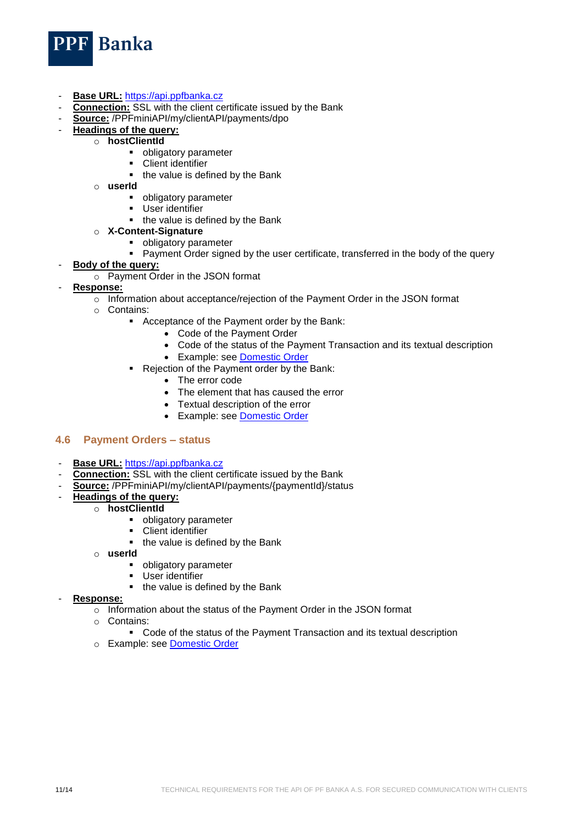

- **Base URL:** [https://api.ppfbanka.cz](https://api.ppfbanka.cz/)
- **Connection:** SSL with the client certificate issued by the Bank
- **Source:** /PPFminiAPI/my/clientAPI/payments/dpo
- **Headings of the query:** 
	- o **hostClientId**
		- obligatory parameter<br>• Client identifier
		- Client identifier
		- the value is defined by the Bank
	- o **userId**
		- **•** obligatory parameter
		- User identifier
		- the value is defined by the Bank
	- o **X-Content-Signature**
		- **•** obligatory parameter
		- Payment Order signed by the user certificate, transferred in the body of the query
- **Body of the query:**
	- o Payment Order in the JSON format
- **Response:**
	- o Information about acceptance/rejection of the Payment Order in the JSON format
	- o Contains:
		- Acceptance of the Payment order by the Bank:
			- Code of the Payment Order
			- Code of the status of the Payment Transaction and its textual description
			- Example: see [Domestic Order](#page-7-2)
		- Rejection of the Payment order by the Bank:
			- The error code
			- The element that has caused the error
			- Textual description of the error
			- Example: see [Domestic Order](#page-7-2)

#### <span id="page-10-0"></span>**4.6 Payment Orders – status**

- **Base URL:** [https://api.ppfbanka.cz](https://api.ppfbanka.cz/)
- **Connection:** SSL with the client certificate issued by the Bank
- **Source:** /PPFminiAPI/my/clientAPI/payments/{paymentId}/status
- **Headings of the query:**
	- o **hostClientId**
		- obligatory parameter
		- Client identifier
		- the value is defined by the Bank
		- o **userId**
			- **•** obligatory parameter
			- **User identifier**
			- the value is defined by the Bank
- **Response:**
	- o Information about the status of the Payment Order in the JSON format
	- o Contains:
		- Code of the status of the Payment Transaction and its textual description
	- o Example: see [Domestic Order](#page-7-2)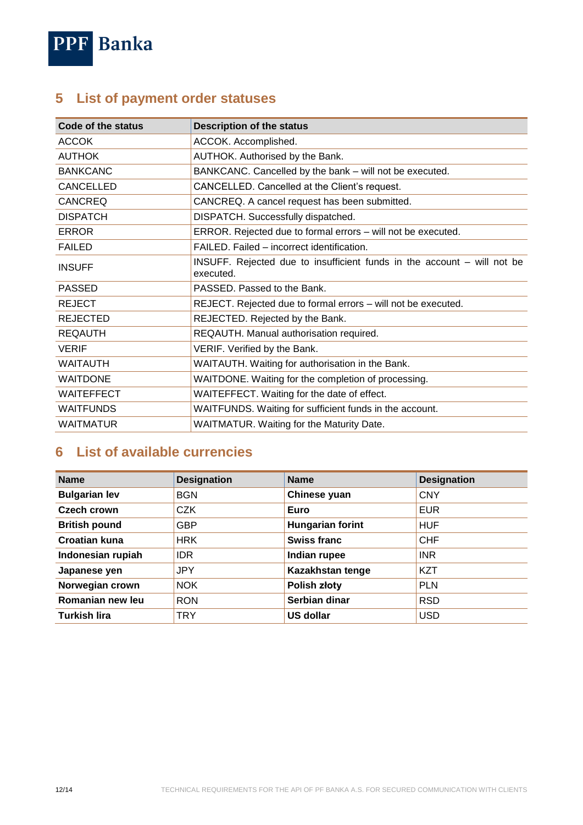

# <span id="page-11-0"></span>**5 List of payment order statuses**

| Code of the status | <b>Description of the status</b>                                                     |  |  |
|--------------------|--------------------------------------------------------------------------------------|--|--|
| <b>ACCOK</b>       | ACCOK. Accomplished.                                                                 |  |  |
| <b>AUTHOK</b>      | AUTHOK. Authorised by the Bank.                                                      |  |  |
| <b>BANKCANC</b>    | BANKCANC. Cancelled by the bank - will not be executed.                              |  |  |
| <b>CANCELLED</b>   | CANCELLED. Cancelled at the Client's request.                                        |  |  |
| <b>CANCREQ</b>     | CANCREQ. A cancel request has been submitted.                                        |  |  |
| <b>DISPATCH</b>    | DISPATCH. Successfully dispatched.                                                   |  |  |
| <b>ERROR</b>       | ERROR. Rejected due to formal errors - will not be executed.                         |  |  |
| <b>FAILED</b>      | FAILED. Failed – incorrect identification.                                           |  |  |
| <b>INSUFF</b>      | INSUFF. Rejected due to insufficient funds in the account – will not be<br>executed. |  |  |
| <b>PASSED</b>      | PASSED. Passed to the Bank.                                                          |  |  |
| <b>REJECT</b>      | REJECT. Rejected due to formal errors - will not be executed.                        |  |  |
| <b>REJECTED</b>    | REJECTED. Rejected by the Bank.                                                      |  |  |
| <b>REQAUTH</b>     | REQAUTH. Manual authorisation required.                                              |  |  |
| <b>VERIF</b>       | VERIF. Verified by the Bank.                                                         |  |  |
| <b>WAITAUTH</b>    | WAITAUTH. Waiting for authorisation in the Bank.                                     |  |  |
| <b>WAITDONE</b>    | WAITDONE. Waiting for the completion of processing.                                  |  |  |
| <b>WAITEFFECT</b>  | WAITEFFECT. Waiting for the date of effect.                                          |  |  |
| <b>WAITFUNDS</b>   | WAITFUNDS. Waiting for sufficient funds in the account.                              |  |  |
| <b>WAITMATUR</b>   | <b>WAITMATUR. Waiting for the Maturity Date.</b>                                     |  |  |

# <span id="page-11-1"></span>**6 List of available currencies**

| <b>Name</b>          | <b>Designation</b> | <b>Name</b>             | <b>Designation</b> |
|----------------------|--------------------|-------------------------|--------------------|
| <b>Bulgarian lev</b> | <b>BGN</b>         | Chinese yuan            | <b>CNY</b>         |
| Czech crown          | <b>CZK</b>         | Euro                    | <b>EUR</b>         |
| <b>British pound</b> | <b>GBP</b>         | <b>Hungarian forint</b> | <b>HUF</b>         |
| <b>Croatian kuna</b> | <b>HRK</b>         | <b>Swiss franc</b>      | <b>CHF</b>         |
| Indonesian rupiah    | <b>IDR</b>         | Indian rupee            | <b>INR</b>         |
| Japanese yen         | <b>JPY</b>         | Kazakhstan tenge        | <b>KZT</b>         |
| Norwegian crown      | <b>NOK</b>         | <b>Polish złoty</b>     | <b>PLN</b>         |
| Romanian new leu     | <b>RON</b>         | Serbian dinar           | <b>RSD</b>         |
| <b>Turkish lira</b>  | <b>TRY</b>         | <b>US dollar</b>        | <b>USD</b>         |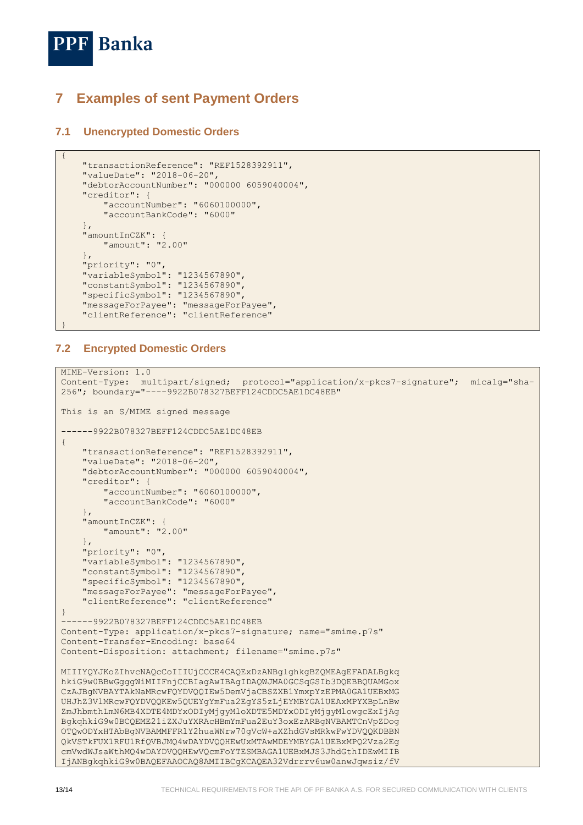

{

}

# <span id="page-12-0"></span>**7 Examples of sent Payment Orders**

### <span id="page-12-1"></span>**7.1 Unencrypted Domestic Orders**

```
 "transactionReference": "REF1528392911",
     "valueDate": "2018-06-20",
     "debtorAccountNumber": "000000 6059040004",
     "creditor": {
         "accountNumber": "6060100000",
         "accountBankCode": "6000"
     },
     "amountInCZK": {
         "amount": "2.00"
 },
     "priority": "0",
     "variableSymbol": "1234567890",
     "constantSymbol": "1234567890",
    "specificSymbol": "1234567890",
    "messageForPayee": "messageForPayee",
     "clientReference": "clientReference"
```
### <span id="page-12-2"></span>**7.2 Encrypted Domestic Orders**

```
MIME-Version: 1.0
Content-Type: multipart/signed; protocol="application/x-pkcs7-signature"; micalg="sha-
256"; boundary="----9922B078327BEFF124CDDC5AE1DC48EB"
This is an S/MIME signed message
------9922B078327BEFF124CDDC5AE1DC48EB
{
     "transactionReference": "REF1528392911",
     "valueDate": "2018-06-20",
     "debtorAccountNumber": "000000 6059040004",
     "creditor": {
         "accountNumber": "6060100000",
         "accountBankCode": "6000"
     },
     "amountInCZK": {
         "amount": "2.00"
     },
     "priority": "0",
     "variableSymbol": "1234567890",
     "constantSymbol": "1234567890",
     "specificSymbol": "1234567890",
     "messageForPayee": "messageForPayee",
     "clientReference": "clientReference"
}
------9922B078327BEFF124CDDC5AE1DC48EB
Content-Type: application/x-pkcs7-signature; name="smime.p7s"
Content-Transfer-Encoding: base64
Content-Disposition: attachment; filename="smime.p7s"
MIIIYQYJKoZIhvcNAQcCoIIIUjCCCE4CAQExDzANBglghkgBZQMEAgEFADALBgkq
hkiG9w0BBwGgggWiMIIFnjCCBIagAwIBAgIDAQWJMA0GCSqGSIb3DQEBBQUAMGox
CzAJBgNVBAYTAkNaMRcwFQYDVQQIEw5DemVjaCBSZXB1YmxpYzEPMA0GA1UEBxMG
UHJhZ3VlMRcwFQYDVQQKEw5QUEYgYmFua2EgYS5zLjEYMBYGA1UEAxMPYXBpLnBw
ZmJhbmthLmN6MB4XDTE4MDYxODIyMjgyMloXDTE5MDYxODIyMjgyMlowgcExIjAg
BgkqhkiG9w0BCQEME21iZXJuYXRAcHBmYmFua2EuY3oxEzARBgNVBAMTCnVpZDog
OTQwODYxHTAbBgNVBAMMFFRlY2huaWNrw70gVcW+aXZhdGVsMRkwFwYDVQQKDBBN
QkVSTkFUX1RFU1RfQVBJMQ4wDAYDVQQHEwUxMTAwMDEYMBYGA1UEBxMPQ2Vza2Eg
cmVwdWJsaWthMQ4wDAYDVQQHEwVQcmFoYTESMBAGA1UEBxMJS3JhdGthIDEwMIIB
IjANBgkqhkiG9w0BAQEFAAOCAQ8AMIIBCgKCAQEA32Vdrrrv6uw0anwJqwsiz/fV
```